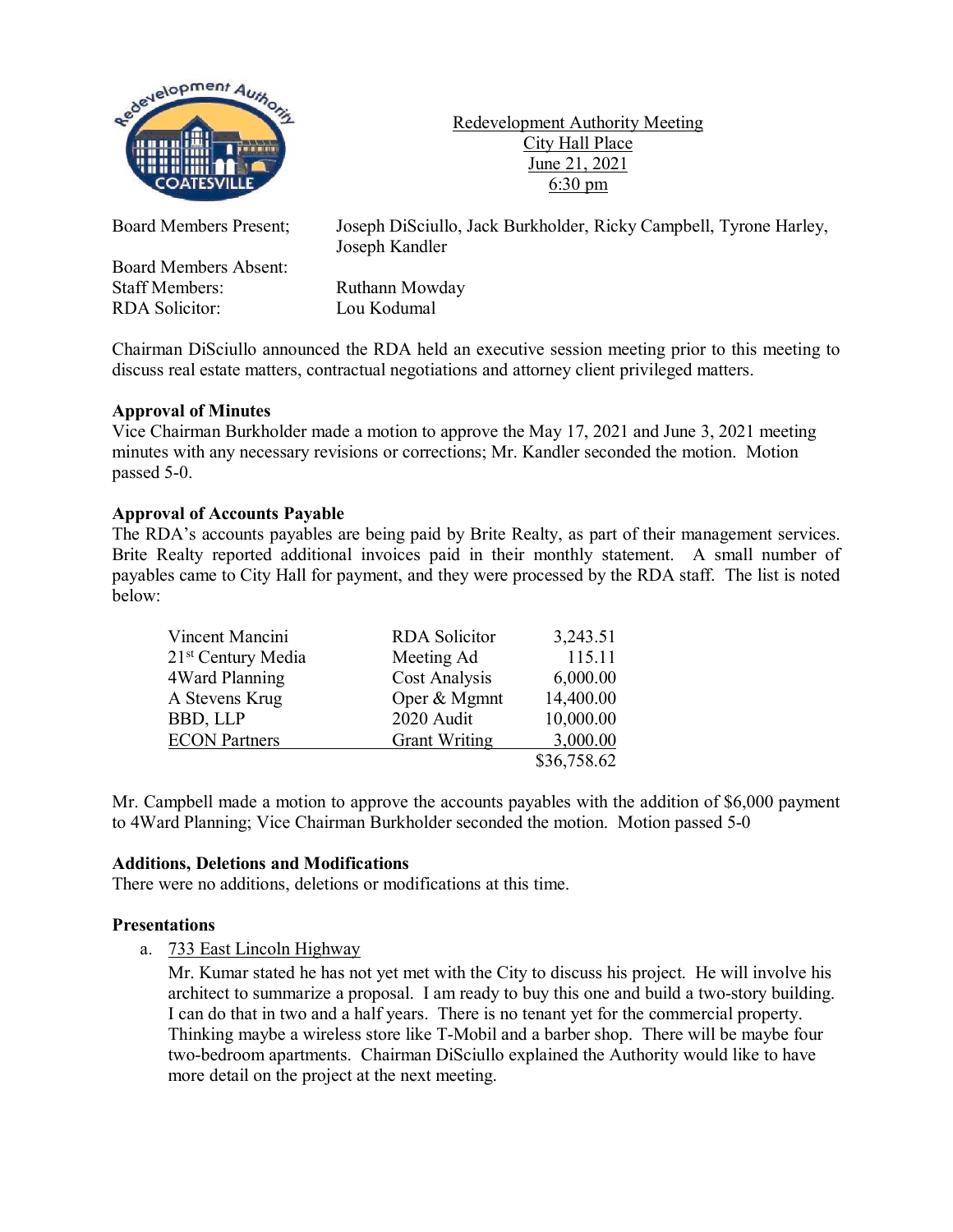

Redevelopment Authority Meeting City Hall Place June 21, 2021 6:30 pm

Board Members Present; Joseph DiSciullo, Jack Burkholder, Ricky Campbell, Tyrone Harley,

Joseph Kandler Board Members Absent: Ruthann Mowday

RDA Solicitor: Lou Kodumal

Chairman DiSciullo announced the RDA held an executive session meeting prior to this meeting to discuss real estate matters, contractual negotiations and attorney client privileged matters.

# **Approval of Minutes**

Vice Chairman Burkholder made a motion to approve the May 17, 2021 and June 3, 2021 meeting minutes with any necessary revisions or corrections; Mr. Kandler seconded the motion. Motion passed 5-0.

## **Approval of Accounts Payable**

The RDA's accounts payables are being paid by Brite Realty, as part of their management services. Brite Realty reported additional invoices paid in their monthly statement. A small number of payables came to City Hall for payment, and they were processed by the RDA staff. The list is noted below:

| Vincent Mancini                | <b>RDA</b> Solicitor | 3,243.51    |
|--------------------------------|----------------------|-------------|
| 21 <sup>st</sup> Century Media | Meeting Ad           | 115.11      |
| 4Ward Planning                 | <b>Cost Analysis</b> | 6,000.00    |
| A Stevens Krug                 | Oper & Mgmnt         | 14,400.00   |
| <b>BBD, LLP</b>                | 2020 Audit           | 10,000.00   |
| <b>ECON Partners</b>           | <b>Grant Writing</b> | 3,000.00    |
|                                |                      | \$36,758.62 |

Mr. Campbell made a motion to approve the accounts payables with the addition of \$6,000 payment to 4Ward Planning; Vice Chairman Burkholder seconded the motion. Motion passed 5-0

## **Additions, Deletions and Modifications**

There were no additions, deletions or modifications at this time.

## **Presentations**

a. 733 East Lincoln Highway

Mr. Kumar stated he has not yet met with the City to discuss his project. He will involve his architect to summarize a proposal. I am ready to buy this one and build a two-story building. I can do that in two and a half years. There is no tenant yet for the commercial property. Thinking maybe a wireless store like T-Mobil and a barber shop. There will be maybe four two-bedroom apartments. Chairman DiSciullo explained the Authority would like to have more detail on the project at the next meeting.